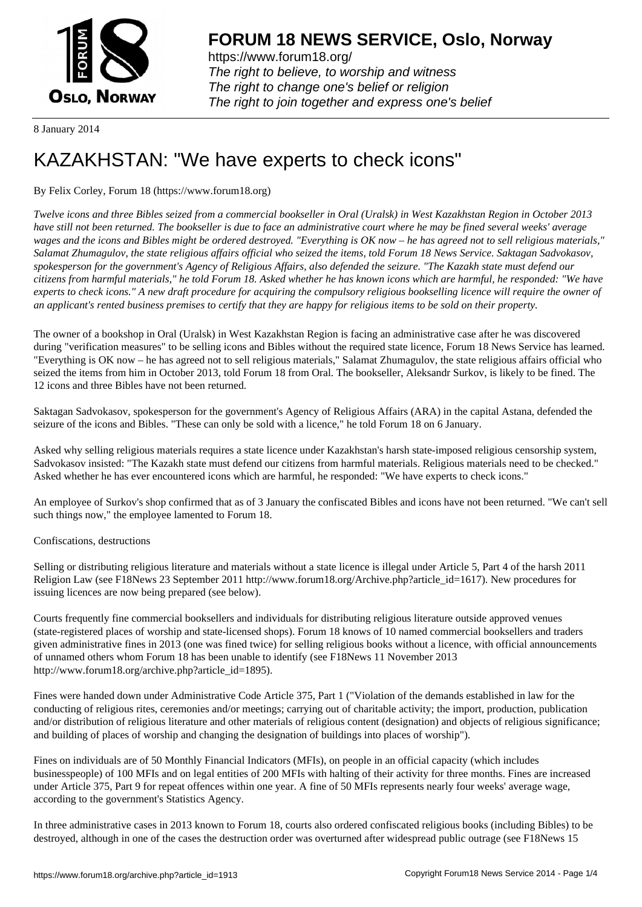

https://www.forum18.org/ The right to believe, to worship and witness The right to change one's belief or religion [The right to join together a](https://www.forum18.org/)nd express one's belief

8 January 2014

## [KAZAKHSTAN:](https://www.forum18.org) "We have experts to check icons"

## By Felix Corley, Forum 18 (https://www.forum18.org)

*Twelve icons and three Bibles seized from a commercial bookseller in Oral (Uralsk) in West Kazakhstan Region in October 2013 have still not been returned. The bookseller is due to face an administrative court where he may be fined several weeks' average wages and the icons and Bibles might be ordered destroyed. "Everything is OK now – he has agreed not to sell religious materials," Salamat Zhumagulov, the state religious affairs official who seized the items, told Forum 18 News Service. Saktagan Sadvokasov, spokesperson for the government's Agency of Religious Affairs, also defended the seizure. "The Kazakh state must defend our citizens from harmful materials," he told Forum 18. Asked whether he has known icons which are harmful, he responded: "We have experts to check icons." A new draft procedure for acquiring the compulsory religious bookselling licence will require the owner of an applicant's rented business premises to certify that they are happy for religious items to be sold on their property.*

The owner of a bookshop in Oral (Uralsk) in West Kazakhstan Region is facing an administrative case after he was discovered during "verification measures" to be selling icons and Bibles without the required state licence, Forum 18 News Service has learned. "Everything is OK now – he has agreed not to sell religious materials," Salamat Zhumagulov, the state religious affairs official who seized the items from him in October 2013, told Forum 18 from Oral. The bookseller, Aleksandr Surkov, is likely to be fined. The 12 icons and three Bibles have not been returned.

Saktagan Sadvokasov, spokesperson for the government's Agency of Religious Affairs (ARA) in the capital Astana, defended the seizure of the icons and Bibles. "These can only be sold with a licence," he told Forum 18 on 6 January.

Asked why selling religious materials requires a state licence under Kazakhstan's harsh state-imposed religious censorship system, Sadvokasov insisted: "The Kazakh state must defend our citizens from harmful materials. Religious materials need to be checked." Asked whether he has ever encountered icons which are harmful, he responded: "We have experts to check icons."

An employee of Surkov's shop confirmed that as of 3 January the confiscated Bibles and icons have not been returned. "We can't sell such things now," the employee lamented to Forum 18.

## Confiscations, destructions

Selling or distributing religious literature and materials without a state licence is illegal under Article 5, Part 4 of the harsh 2011 Religion Law (see F18News 23 September 2011 http://www.forum18.org/Archive.php?article\_id=1617). New procedures for issuing licences are now being prepared (see below).

Courts frequently fine commercial booksellers and individuals for distributing religious literature outside approved venues (state-registered places of worship and state-licensed shops). Forum 18 knows of 10 named commercial booksellers and traders given administrative fines in 2013 (one was fined twice) for selling religious books without a licence, with official announcements of unnamed others whom Forum 18 has been unable to identify (see F18News 11 November 2013 http://www.forum18.org/archive.php?article\_id=1895).

Fines were handed down under Administrative Code Article 375, Part 1 ("Violation of the demands established in law for the conducting of religious rites, ceremonies and/or meetings; carrying out of charitable activity; the import, production, publication and/or distribution of religious literature and other materials of religious content (designation) and objects of religious significance; and building of places of worship and changing the designation of buildings into places of worship").

Fines on individuals are of 50 Monthly Financial Indicators (MFIs), on people in an official capacity (which includes businesspeople) of 100 MFIs and on legal entities of 200 MFIs with halting of their activity for three months. Fines are increased under Article 375, Part 9 for repeat offences within one year. A fine of 50 MFIs represents nearly four weeks' average wage, according to the government's Statistics Agency.

In three administrative cases in 2013 known to Forum 18, courts also ordered confiscated religious books (including Bibles) to be destroyed, although in one of the cases the destruction order was overturned after widespread public outrage (see F18News 15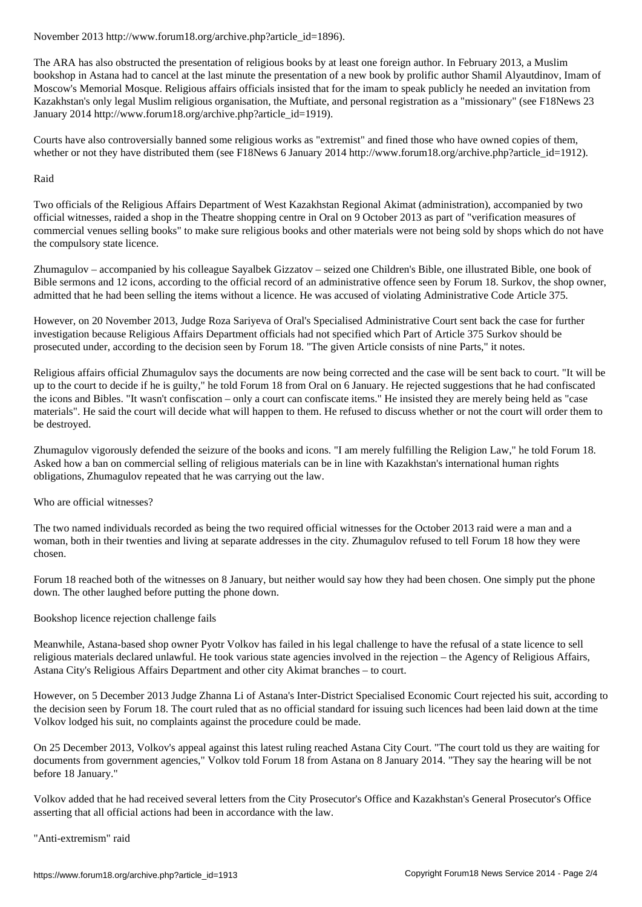The ARA has also obstructed the presentation of religious books by at least one foreign author. In February 2013, a Muslim bookshop in Astana had to cancel at the last minute the presentation of a new book by prolific author Shamil Alyautdinov, Imam of Moscow's Memorial Mosque. Religious affairs officials insisted that for the imam to speak publicly he needed an invitation from Kazakhstan's only legal Muslim religious organisation, the Muftiate, and personal registration as a "missionary" (see F18News 23 January 2014 http://www.forum18.org/archive.php?article\_id=1919).

Courts have also controversially banned some religious works as "extremist" and fined those who have owned copies of them, whether or not they have distributed them (see F18News 6 January 2014 http://www.forum18.org/archive.php?article\_id=1912).

## Raid

Two officials of the Religious Affairs Department of West Kazakhstan Regional Akimat (administration), accompanied by two official witnesses, raided a shop in the Theatre shopping centre in Oral on 9 October 2013 as part of "verification measures of commercial venues selling books" to make sure religious books and other materials were not being sold by shops which do not have the compulsory state licence.

Zhumagulov – accompanied by his colleague Sayalbek Gizzatov – seized one Children's Bible, one illustrated Bible, one book of Bible sermons and 12 icons, according to the official record of an administrative offence seen by Forum 18. Surkov, the shop owner, admitted that he had been selling the items without a licence. He was accused of violating Administrative Code Article 375.

However, on 20 November 2013, Judge Roza Sariyeva of Oral's Specialised Administrative Court sent back the case for further investigation because Religious Affairs Department officials had not specified which Part of Article 375 Surkov should be prosecuted under, according to the decision seen by Forum 18. "The given Article consists of nine Parts," it notes.

Religious affairs official Zhumagulov says the documents are now being corrected and the case will be sent back to court. "It will be up to the court to decide if he is guilty," he told Forum 18 from Oral on 6 January. He rejected suggestions that he had confiscated the icons and Bibles. "It wasn't confiscation – only a court can confiscate items." He insisted they are merely being held as "case materials". He said the court will decide what will happen to them. He refused to discuss whether or not the court will order them to be destroyed.

Zhumagulov vigorously defended the seizure of the books and icons. "I am merely fulfilling the Religion Law," he told Forum 18. Asked how a ban on commercial selling of religious materials can be in line with Kazakhstan's international human rights obligations, Zhumagulov repeated that he was carrying out the law.

Who are official witnesses?

The two named individuals recorded as being the two required official witnesses for the October 2013 raid were a man and a woman, both in their twenties and living at separate addresses in the city. Zhumagulov refused to tell Forum 18 how they were chosen.

Forum 18 reached both of the witnesses on 8 January, but neither would say how they had been chosen. One simply put the phone down. The other laughed before putting the phone down.

Bookshop licence rejection challenge fails

Meanwhile, Astana-based shop owner Pyotr Volkov has failed in his legal challenge to have the refusal of a state licence to sell religious materials declared unlawful. He took various state agencies involved in the rejection – the Agency of Religious Affairs, Astana City's Religious Affairs Department and other city Akimat branches – to court.

However, on 5 December 2013 Judge Zhanna Li of Astana's Inter-District Specialised Economic Court rejected his suit, according to the decision seen by Forum 18. The court ruled that as no official standard for issuing such licences had been laid down at the time Volkov lodged his suit, no complaints against the procedure could be made.

On 25 December 2013, Volkov's appeal against this latest ruling reached Astana City Court. "The court told us they are waiting for documents from government agencies," Volkov told Forum 18 from Astana on 8 January 2014. "They say the hearing will be not before 18 January."

Volkov added that he had received several letters from the City Prosecutor's Office and Kazakhstan's General Prosecutor's Office asserting that all official actions had been in accordance with the law.

"Anti-extremism" raid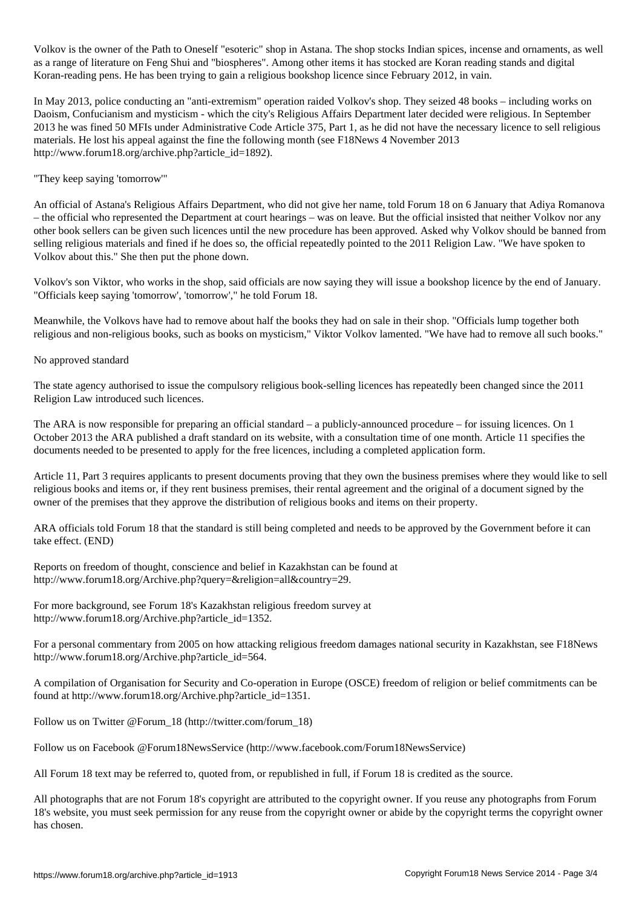$V$  is the ones estericties in Astana. The shop stocks Indian spices, including  $V$  escapes, including  $V$ as a range of literature on Feng Shui and "biospheres". Among other items it has stocked are Koran reading stands and digital Koran-reading pens. He has been trying to gain a religious bookshop licence since February 2012, in vain.

In May 2013, police conducting an "anti-extremism" operation raided Volkov's shop. They seized 48 books – including works on Daoism, Confucianism and mysticism - which the city's Religious Affairs Department later decided were religious. In September 2013 he was fined 50 MFIs under Administrative Code Article 375, Part 1, as he did not have the necessary licence to sell religious materials. He lost his appeal against the fine the following month (see F18News 4 November 2013 http://www.forum18.org/archive.php?article\_id=1892).

"They keep saying 'tomorrow'"

An official of Astana's Religious Affairs Department, who did not give her name, told Forum 18 on 6 January that Adiya Romanova – the official who represented the Department at court hearings – was on leave. But the official insisted that neither Volkov nor any other book sellers can be given such licences until the new procedure has been approved. Asked why Volkov should be banned from selling religious materials and fined if he does so, the official repeatedly pointed to the 2011 Religion Law. "We have spoken to Volkov about this." She then put the phone down.

Volkov's son Viktor, who works in the shop, said officials are now saying they will issue a bookshop licence by the end of January. "Officials keep saying 'tomorrow', 'tomorrow'," he told Forum 18.

Meanwhile, the Volkovs have had to remove about half the books they had on sale in their shop. "Officials lump together both religious and non-religious books, such as books on mysticism," Viktor Volkov lamented. "We have had to remove all such books."

No approved standard

The state agency authorised to issue the compulsory religious book-selling licences has repeatedly been changed since the 2011 Religion Law introduced such licences.

The ARA is now responsible for preparing an official standard – a publicly-announced procedure – for issuing licences. On 1 October 2013 the ARA published a draft standard on its website, with a consultation time of one month. Article 11 specifies the documents needed to be presented to apply for the free licences, including a completed application form.

Article 11, Part 3 requires applicants to present documents proving that they own the business premises where they would like to sell religious books and items or, if they rent business premises, their rental agreement and the original of a document signed by the owner of the premises that they approve the distribution of religious books and items on their property.

ARA officials told Forum 18 that the standard is still being completed and needs to be approved by the Government before it can take effect. (END)

Reports on freedom of thought, conscience and belief in Kazakhstan can be found at http://www.forum18.org/Archive.php?query=&religion=all&country=29.

For more background, see Forum 18's Kazakhstan religious freedom survey at http://www.forum18.org/Archive.php?article\_id=1352.

For a personal commentary from 2005 on how attacking religious freedom damages national security in Kazakhstan, see F18News http://www.forum18.org/Archive.php?article\_id=564.

A compilation of Organisation for Security and Co-operation in Europe (OSCE) freedom of religion or belief commitments can be found at http://www.forum18.org/Archive.php?article\_id=1351.

Follow us on Twitter @Forum\_18 (http://twitter.com/forum\_18)

Follow us on Facebook @Forum18NewsService (http://www.facebook.com/Forum18NewsService)

All Forum 18 text may be referred to, quoted from, or republished in full, if Forum 18 is credited as the source.

All photographs that are not Forum 18's copyright are attributed to the copyright owner. If you reuse any photographs from Forum 18's website, you must seek permission for any reuse from the copyright owner or abide by the copyright terms the copyright owner has chosen.